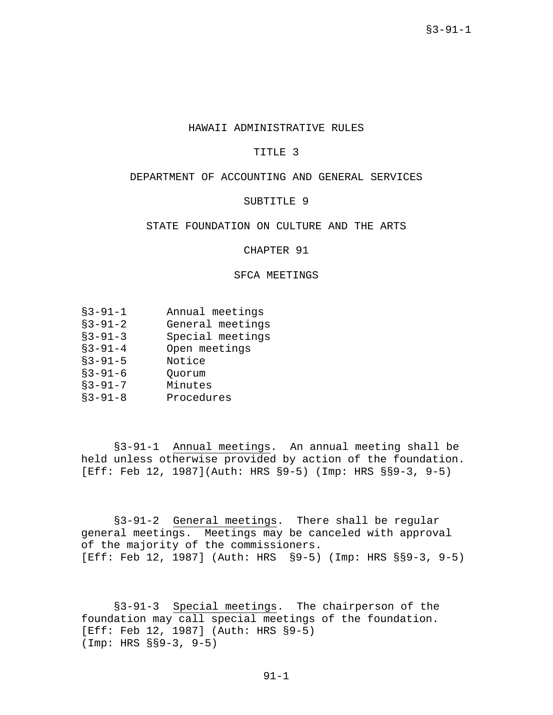## HAWAII ADMINISTRATIVE RULES

## TITLE 3

# DEPARTMENT OF ACCOUNTING AND GENERAL SERVICES

# SUBTITLE 9

# STATE FOUNDATION ON CULTURE AND THE ARTS

CHAPTER 91

## SFCA MEETINGS

- §3-91-1 Annual meetings
- §3-91-2 General meetings
- §3-91-3 Special meetings
- §3-91-4 Open meetings
- §3-91-5 Notice
- §3-91-6 Quorum
- §3-91-7 Minutes
- §3-91-8 Procedures

§3-91-1 Annual meetings. An annual meeting shall be held unless otherwise provided by action of the foundation. [Eff: Feb 12, 1987](Auth: HRS §9-5) (Imp: HRS §§9-3, 9-5)

§3-91-2 General meetings. There shall be regular general meetings. Meetings may be canceled with approval of the majority of the commissioners. [Eff: Feb 12, 1987] (Auth: HRS §9-5) (Imp: HRS §§9-3, 9-5)

§3-91-3 Special meetings. The chairperson of the foundation may call special meetings of the foundation. [Eff: Feb 12, 1987] (Auth: HRS §9-5) (Imp: HRS §§9-3, 9-5)